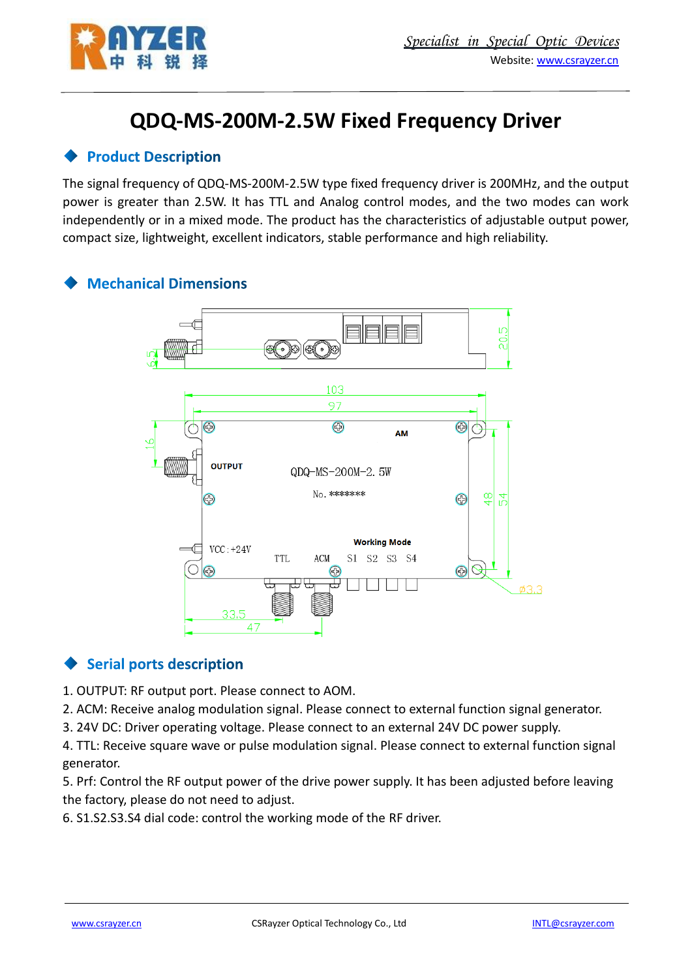

# **QDQ-MS-200M-2.5W Fixed Frequency Driver**

#### **Product Description**

The signal frequency of QDQ-MS-200M-2.5W type fixed frequency driver is 200MHz, and the output power is greater than 2.5W. It has TTL and Analog control modes, and the two modes can work independently or in a mixed mode. The product has the characteristics of adjustable output power, compact size, lightweight, excellent indicators, stable performance and high reliability.

#### **Mechanical Dimensions**



# **Serial ports description**

1. OUTPUT: RF output port. Please connect to AOM.

2. ACM: Receive analog modulation signal. Please connect to external function signal generator.

3. 24V DC: Driver operating voltage. Please connect to an external 24V DC power supply.

4. TTL: Receive square wave or pulse modulation signal. Please connect to external function signal generator.

5. Prf: Control the RF output power of the drive power supply. It has been adjusted before leaving the factory, please do not need to adjust.

6. S1.S2.S3.S4 dial code: control the working mode of the RF driver.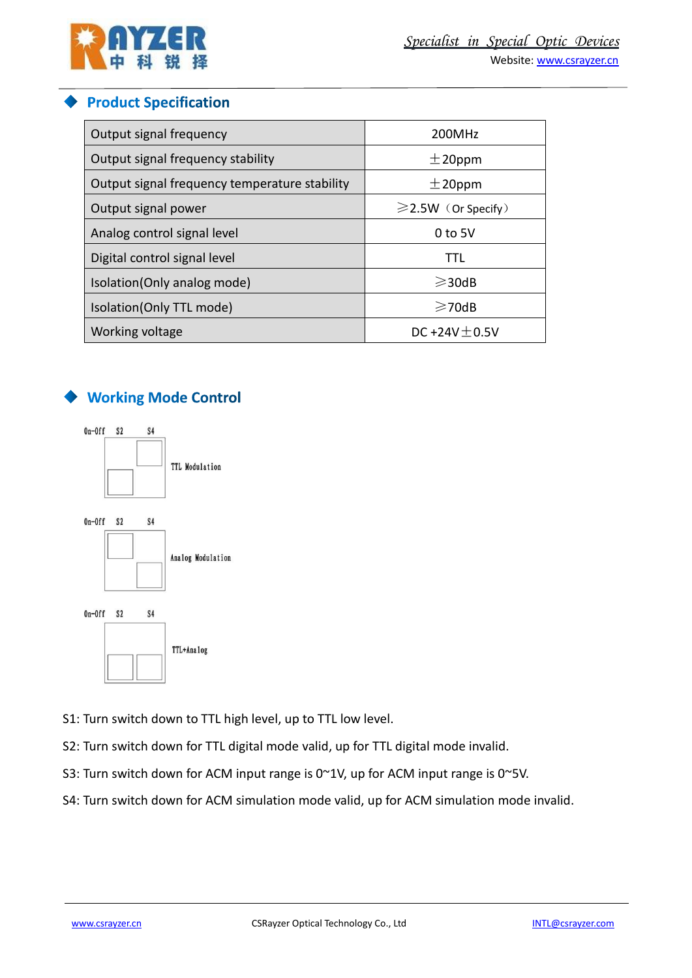

#### **Product Specification**

| Output signal frequency                       | 200MHz                   |
|-----------------------------------------------|--------------------------|
| Output signal frequency stability             | $\pm$ 20ppm              |
| Output signal frequency temperature stability | $±$ 20ppm                |
| Output signal power                           | $\geq$ 2.5W (Or Specify) |
| Analog control signal level                   | $0$ to 5V                |
| Digital control signal level                  | TTL                      |
| Isolation(Only analog mode)                   | $\geq$ 30dB              |
| Isolation(Only TTL mode)                      | $\geq$ 70dB              |
| Working voltage                               | DC +24V $\pm$ 0.5V       |

# ◆ Working Mode Control



S1: Turn switch down to TTL high level, up to TTL low level.

- S2: Turn switch down for TTL digital mode valid, up for TTL digital mode invalid.
- S3: Turn switch down for ACM input range is 0~1V, up for ACM input range is 0~5V.
- S4: Turn switch down for ACM simulation mode valid, up for ACM simulation mode invalid.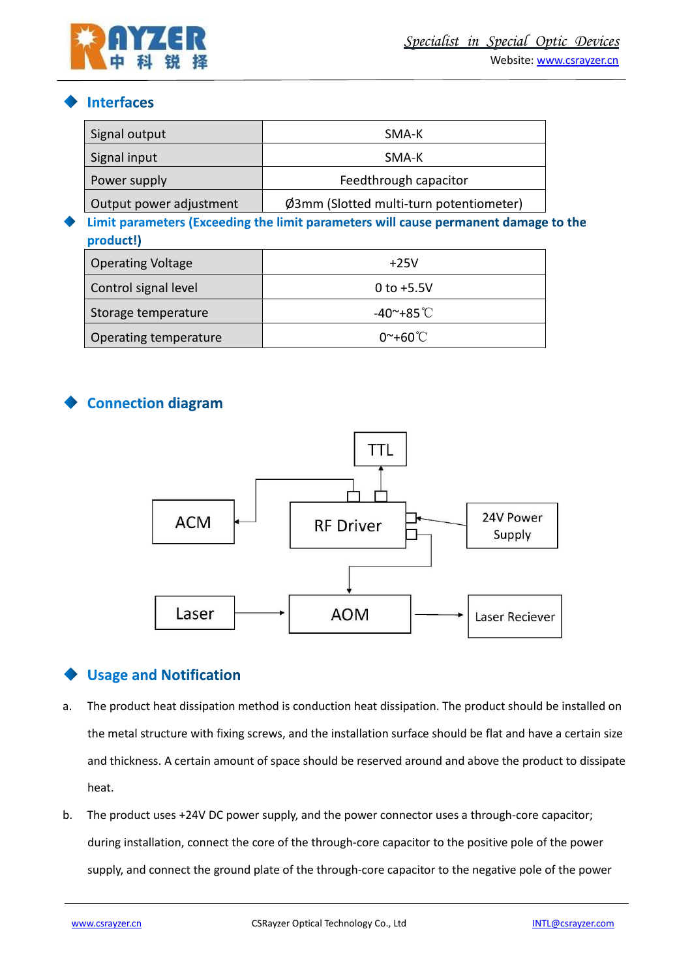

#### **Interfaces**

| Signal output            | SMA-K                                                                               |
|--------------------------|-------------------------------------------------------------------------------------|
| Signal input             | SMA-K                                                                               |
| Power supply             | Feedthrough capacitor                                                               |
| Output power adjustment  | Ø3mm (Slotted multi-turn potentiometer)                                             |
| product!)                | Limit parameters (Exceeding the limit parameters will cause permanent damage to the |
| <b>Operating Voltage</b> | $+25V$                                                                              |
| Control signal level     | $0$ to $+5.5V$                                                                      |
| Storage temperature      | $-40^\circ + 85^\circ \text{C}$                                                     |
| Operating temperature    | $0^{\sim}+60^{\circ}$ C                                                             |

# **Connection diagram**



# **Usage and Notification**

- a. The product heat dissipation method is conduction heat dissipation. The product should be installed on the metal structure with fixing screws, and the installation surface should be flat and have a certain size and thickness. A certain amount of space should be reserved around and above the product to dissipate heat.
- b. The product uses +24V DC power supply, and the power connector uses a through-core capacitor; during installation, connect the core of the through-core capacitor to the positive pole of the power supply, and connect the ground plate of the through-core capacitor to the negative pole of the power